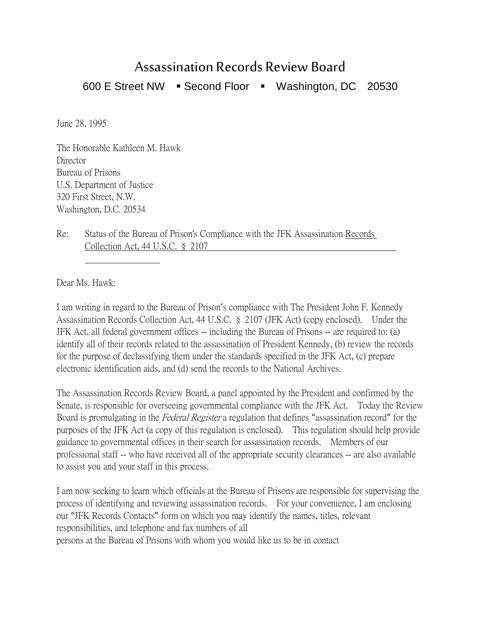## Assassination Records Review Board

600 E Street NW · Second Floor · Washington, DC 20530

June 28, 1995

The Honorable Kathleen M. Hawk Director Bureau of Prisons U.S. Department of Justice 320 First Street, N.W. Washington, D.C. 20534

Re: Status of the Bureau of Prison's Compliance with the JFK Assassination Records Collection Act, 44 U.S.C. § 2107

Dear Ms. Hawk:

I am writing in regard to the Bureau of Prison's compliance with The President John F. Kennedy Assassination Records Collection Act, 44 U.S.C. § 2107 (JFK Act) (copy enclosed). Under the JFK Act, all federal government offices -- including the Bureau of Prisons -- are required to: (a) identify all of their records related to the assassination of President Kennedy, (b) review the records for the purpose of declassifying them under the standards specified in the JFK Act, (c) prepare electronic identification aids, and (d) send the records to the National Archives.

The Assassination Records Review Board, a panel appointed by the President and confirmed by the Senate, is responsible for overseeing governmental compliance with the JFK Act. Today the Review Board is promulgating in the *Federal Register* a regulation that defines "assassination record" for the purposes of the JFK Act (a copy of this regulation is enclosed). This regulation should help provide guidance to governmental offices in their search for assassination records. Members of our professional staff -- who have received all of the appropriate security clearances -- are also available to assist you and your staff in this process.

I am now seeking to learn which officials at the Bureau of Prisons are responsible for supervising the process of identifying and reviewing assassination records. For your convenience, I am enclosing our "JFK Records Contacts" form on which you may identify the names, titles, relevant responsibilities, and telephone and fax numbers of all persons at the Bureau of Prisons with whom you would like us to be in contact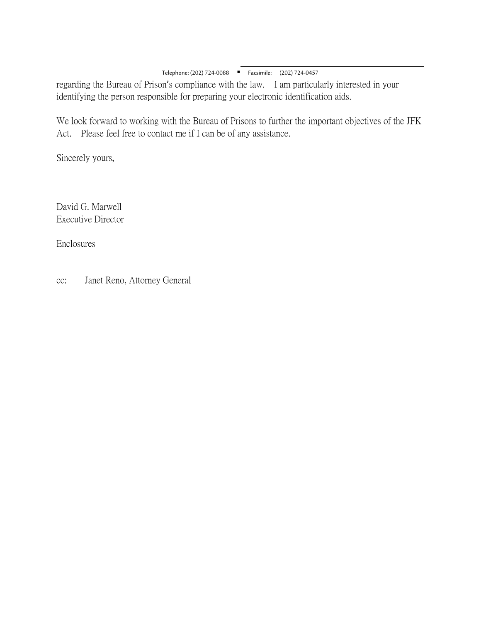$\overline{a}$ Telephone: (202) 724-0088 Facsimile: (202) 724-0457

regarding the Bureau of Prison's compliance with the law. I am particularly interested in your identifying the person responsible for preparing your electronic identification aids.

We look forward to working with the Bureau of Prisons to further the important objectives of the JFK Act. Please feel free to contact me if I can be of any assistance.

Sincerely yours,

David G. Marwell Executive Director

Enclosures

cc: Janet Reno, Attorney General